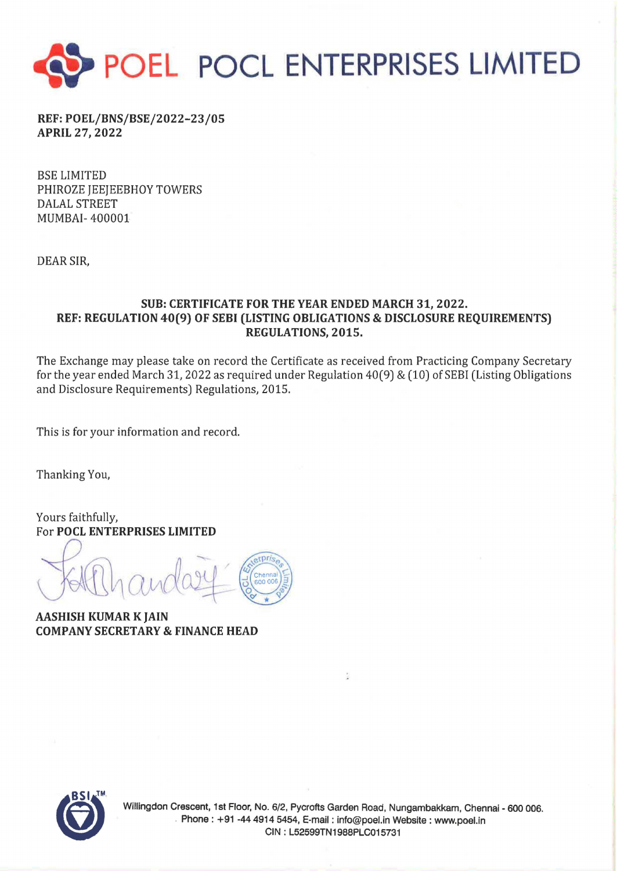

REF:POEL/BNS/BSE/2022-23/05 APRIL 27, 2022

BSE LIMITED PHIROZE JEEJEEBHOY TOWERS DALAL STREET MUMBAI- 400001

DEAR SIR,

## SUB: CERTIFICATE FOR THE YEAR ENDED MARCH 31, 2022. REF: REGULATION 40(9) OF SEBI (LISTING OBLIGATIONS & DISCLOSURE REQUIREMENTS) REGULATIONS, 2015.

The Exchange may please take on record the Certificate as received from Practicing Company Secretary for the year ended March 31, 2022 as required under Regulation  $40(9)$  &  $(10)$  of SEBI (Listing Obligations and Disclosure Requirements) Regulations, 2015.

This is for your information and record.

Thanking You,

Yours faithfully, For POCL ENTERPRISES LIMITED

 $8$ 

AASHISH KUMAR K JAIN COMPANY SECRETARY & FINANCE HEAD